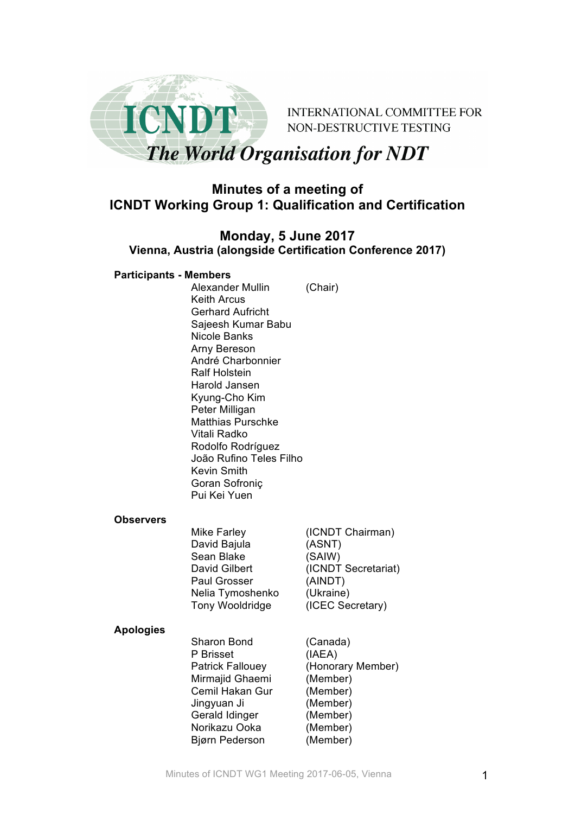

**INTERNATIONAL COMMITTEE FOR** NON-DESTRUCTIVE TESTING

# **The World Organisation for NDT**

# **Minutes of a meeting of ICNDT Working Group 1: Qualification and Certification**

# **Monday, 5 June 2017 Vienna, Austria (alongside Certification Conference 2017)**

#### **Participants - Members**

Alexander Mullin (Chair) Keith Arcus Gerhard Aufricht Sajeesh Kumar Babu Nicole Banks Arny Bereson André Charbonnier Ralf Holstein Harold Jansen Kyung-Cho Kim Peter Milligan Matthias Purschke Vitali Radko Rodolfo Rodríguez João Rufino Teles Filho Kevin Smith Goran Sofroniç Pui Kei Yuen

#### **Observers**

| <b>Mike Farley</b>     | (ICNDT Chairman)    |
|------------------------|---------------------|
| David Bajula           | (ASNT)              |
| Sean Blake             | (SAIW)              |
| David Gilbert          | (ICNDT Secretariat) |
| <b>Paul Grosser</b>    | (AINDT)             |
| Nelia Tymoshenko       | (Ukraine)           |
| <b>Tony Wooldridge</b> | (ICEC Secretary)    |
|                        |                     |

#### **Apologies**

Sharon Bond (Canada) P Brisset (IAEA) Patrick Fallouey (Honorary Member) Mirmajid Ghaemi (Member) Cemil Hakan Gur (Member) Jingyuan Ji (Member) Gerald Idinger (Member) Norikazu Ooka (Member) Bjørn Pederson (Member)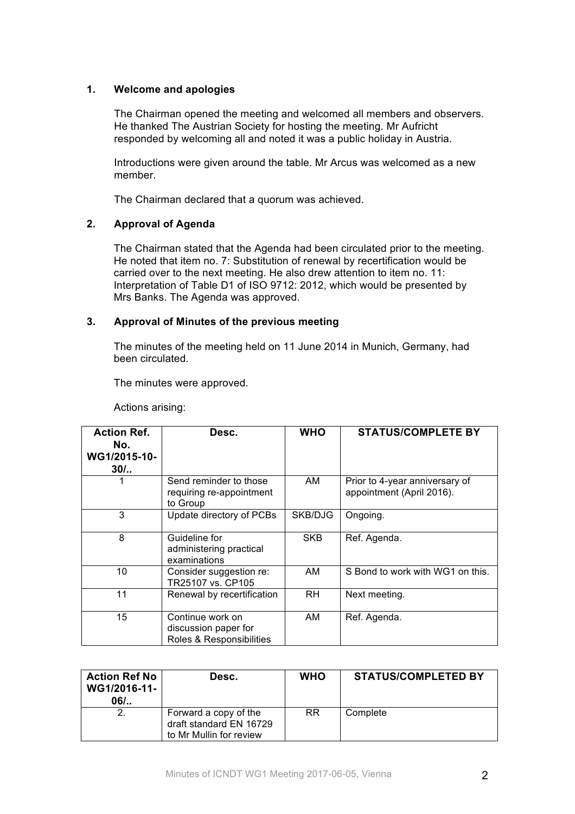# **1. Welcome and apologies**

The Chairman opened the meeting and welcomed all members and observers. He thanked The Austrian Society for hosting the meeting. Mr Aufricht responded by welcoming all and noted it was a public holiday in Austria.

Introductions were given around the table. Mr Arcus was welcomed as a new member.

The Chairman declared that a quorum was achieved.

# **2. Approval of Agenda**

The Chairman stated that the Agenda had been circulated prior to the meeting. He noted that item no. 7: Substitution of renewal by recertification would be carried over to the next meeting. He also drew attention to item no. 11: Interpretation of Table D1 of ISO 9712: 2012, which would be presented by Mrs Banks. The Agenda was approved.

#### **3. Approval of Minutes of the previous meeting**

The minutes of the meeting held on 11 June 2014 in Munich, Germany, had been circulated.

The minutes were approved.

| Actions arising: |
|------------------|
|                  |
|                  |
|                  |

| <b>Action Ref.</b><br>No.<br>WG1/2015-10-<br>$30/$ | Desc.                                                                | <b>WHO</b> | <b>STATUS/COMPLETE BY</b>                                   |
|----------------------------------------------------|----------------------------------------------------------------------|------------|-------------------------------------------------------------|
|                                                    | Send reminder to those<br>requiring re-appointment<br>to Group       | AM         | Prior to 4-year anniversary of<br>appointment (April 2016). |
| 3                                                  | Update directory of PCBs                                             | SKB/DJG    | Ongoing.                                                    |
| 8                                                  | Guideline for<br>administering practical<br>examinations             | <b>SKB</b> | Ref. Agenda.                                                |
| 10                                                 | Consider suggestion re:<br>TR25107 vs. CP105                         | AM         | S Bond to work with WG1 on this.                            |
| 11                                                 | Renewal by recertification                                           | <b>RH</b>  | Next meeting.                                               |
| 15                                                 | Continue work on<br>discussion paper for<br>Roles & Responsibilities | AM         | Ref. Agenda.                                                |

| <b>Action Ref No</b><br>WG1/2016-11-<br>$06/$ | Desc.                                                                       | <b>WHO</b> | <b>STATUS/COMPLETED BY</b> |
|-----------------------------------------------|-----------------------------------------------------------------------------|------------|----------------------------|
| $\mathbf{2}$                                  | Forward a copy of the<br>draft standard EN 16729<br>to Mr Mullin for review | <b>RR</b>  | Complete                   |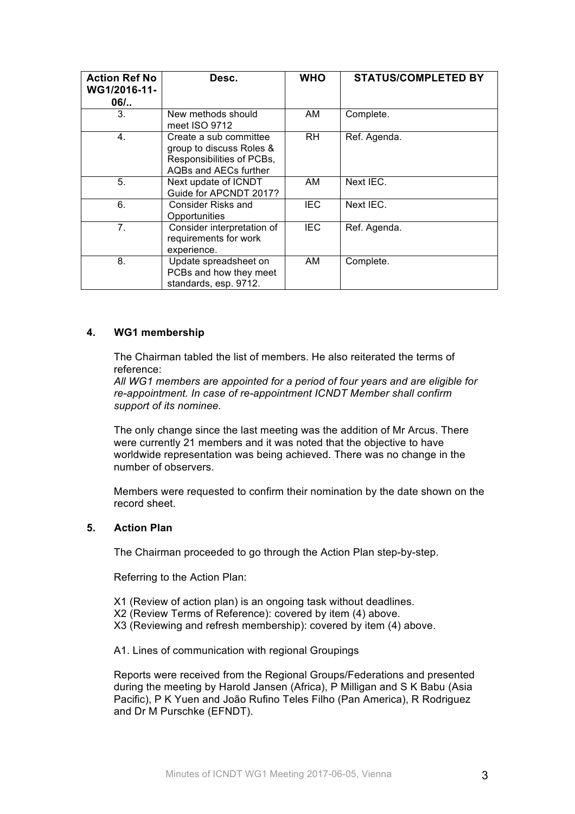| <b>Action Ref No</b><br>WG1/2016-11-<br>$06/$ | Desc.                                                                                                    | <b>WHO</b> | <b>STATUS/COMPLETED BY</b> |
|-----------------------------------------------|----------------------------------------------------------------------------------------------------------|------------|----------------------------|
| 3.                                            | New methods should<br>meet ISO 9712                                                                      | AM         | Complete.                  |
| $\overline{4}$ .                              | Create a sub committee<br>group to discuss Roles &<br>Responsibilities of PCBs,<br>AQBs and AECs further | RH.        | Ref. Agenda.               |
| 5.                                            | Next update of ICNDT<br>Guide for APCNDT 2017?                                                           | AM         | Next IEC.                  |
| 6.                                            | Consider Risks and<br>Opportunities                                                                      | <b>IEC</b> | Next IEC.                  |
| 7 <sub>1</sub>                                | Consider interpretation of<br>requirements for work<br>experience.                                       | <b>IEC</b> | Ref. Agenda.               |
| 8.                                            | Update spreadsheet on<br>PCBs and how they meet<br>standards, esp. 9712.                                 | AM         | Complete.                  |

# **4. WG1 membership**

The Chairman tabled the list of members. He also reiterated the terms of reference:

*All WG1 members are appointed for a period of four years and are eligible for re-appointment. In case of re-appointment ICNDT Member shall confirm support of its nominee.*

The only change since the last meeting was the addition of Mr Arcus. There were currently 21 members and it was noted that the objective to have worldwide representation was being achieved. There was no change in the number of observers.

Members were requested to confirm their nomination by the date shown on the record sheet.

# **5. Action Plan**

The Chairman proceeded to go through the Action Plan step-by-step.

Referring to the Action Plan:

- X1 (Review of action plan) is an ongoing task without deadlines.
- X2 (Review Terms of Reference): covered by item (4) above.
- X3 (Reviewing and refresh membership): covered by item (4) above.

A1. Lines of communication with regional Groupings

Reports were received from the Regional Groups/Federations and presented during the meeting by Harold Jansen (Africa), P Milligan and S K Babu (Asia Pacific), P K Yuen and João Rufino Teles Filho (Pan America), R Rodriguez and Dr M Purschke (EFNDT).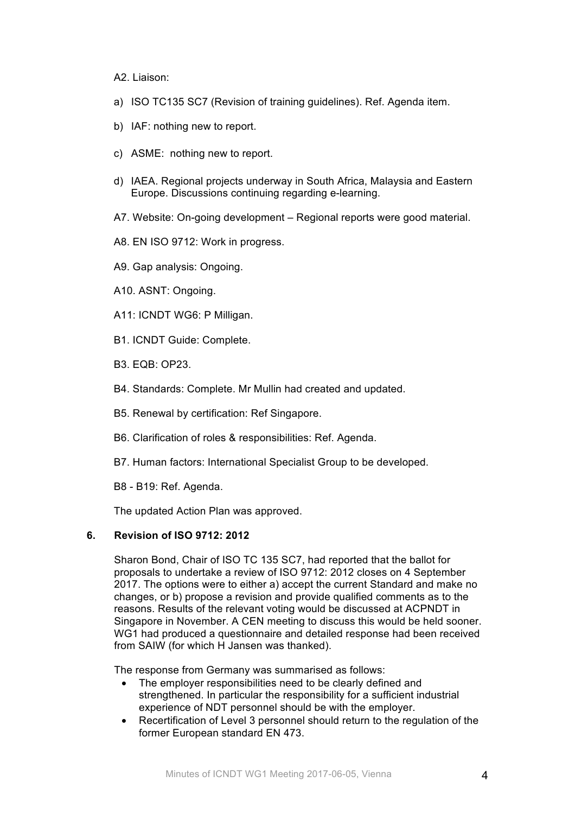#### A2. Liaison:

- a) ISO TC135 SC7 (Revision of training guidelines). Ref. Agenda item.
- b) IAF: nothing new to report.
- c) ASME: nothing new to report.
- d) IAEA. Regional projects underway in South Africa, Malaysia and Eastern Europe. Discussions continuing regarding e-learning.
- A7. Website: On-going development Regional reports were good material.
- A8. EN ISO 9712: Work in progress.
- A9. Gap analysis: Ongoing.
- A10. ASNT: Ongoing.
- A11: ICNDT WG6: P Milligan.
- B1. ICNDT Guide: Complete.
- B3. EQB: OP23.
- B4. Standards: Complete. Mr Mullin had created and updated.
- B5. Renewal by certification: Ref Singapore.
- B6. Clarification of roles & responsibilities: Ref. Agenda.
- B7. Human factors: International Specialist Group to be developed.
- B8 B19: Ref. Agenda.

The updated Action Plan was approved.

#### **6. Revision of ISO 9712: 2012**

Sharon Bond, Chair of ISO TC 135 SC7, had reported that the ballot for proposals to undertake a review of ISO 9712: 2012 closes on 4 September 2017. The options were to either a) accept the current Standard and make no changes, or b) propose a revision and provide qualified comments as to the reasons. Results of the relevant voting would be discussed at ACPNDT in Singapore in November. A CEN meeting to discuss this would be held sooner. WG1 had produced a questionnaire and detailed response had been received from SAIW (for which H Jansen was thanked).

The response from Germany was summarised as follows:

- The employer responsibilities need to be clearly defined and strengthened. In particular the responsibility for a sufficient industrial experience of NDT personnel should be with the employer.
- Recertification of Level 3 personnel should return to the regulation of the former European standard EN 473.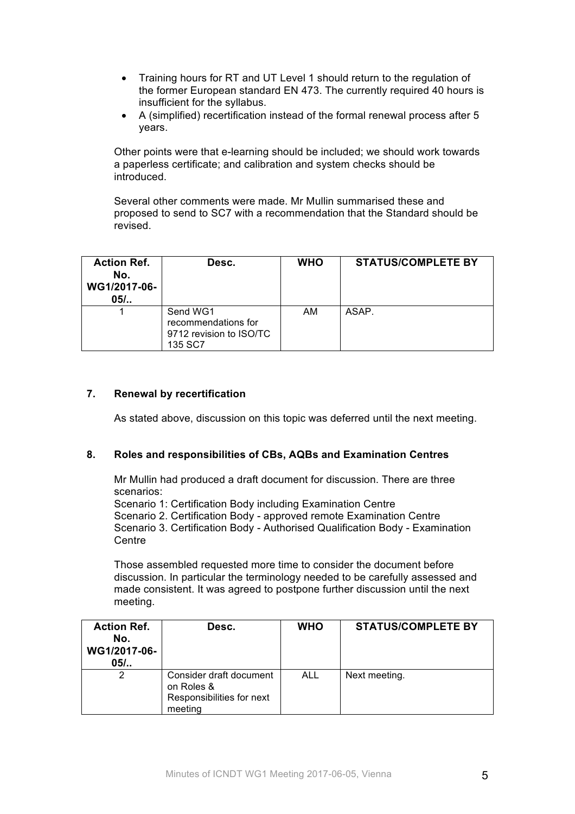- Training hours for RT and UT Level 1 should return to the regulation of the former European standard EN 473. The currently required 40 hours is insufficient for the syllabus.
- A (simplified) recertification instead of the formal renewal process after 5 years.

Other points were that e-learning should be included; we should work towards a paperless certificate; and calibration and system checks should be introduced.

Several other comments were made. Mr Mullin summarised these and proposed to send to SC7 with a recommendation that the Standard should be revised.

| <b>Action Ref.</b><br>No.<br>WG1/2017-06-<br>$05/$ | Desc.                                                                 | <b>WHO</b> | <b>STATUS/COMPLETE BY</b> |
|----------------------------------------------------|-----------------------------------------------------------------------|------------|---------------------------|
|                                                    | Send WG1<br>recommendations for<br>9712 revision to ISO/TC<br>135 SC7 | AM         | ASAP.                     |

# **7. Renewal by recertification**

As stated above, discussion on this topic was deferred until the next meeting.

# **8. Roles and responsibilities of CBs, AQBs and Examination Centres**

Mr Mullin had produced a draft document for discussion. There are three scenarios:

Scenario 1: Certification Body including Examination Centre

Scenario 2. Certification Body - approved remote Examination Centre Scenario 3. Certification Body - Authorised Qualification Body - Examination **Centre** 

Those assembled requested more time to consider the document before discussion. In particular the terminology needed to be carefully assessed and made consistent. It was agreed to postpone further discussion until the next meeting.

| <b>Action Ref.</b><br>No.<br>WG1/2017-06-<br>$05/$ | Desc.                                                                         | <b>WHO</b> | <b>STATUS/COMPLETE BY</b> |
|----------------------------------------------------|-------------------------------------------------------------------------------|------------|---------------------------|
| 2                                                  | Consider draft document<br>on Roles &<br>Responsibilities for next<br>meeting | ALL        | Next meeting.             |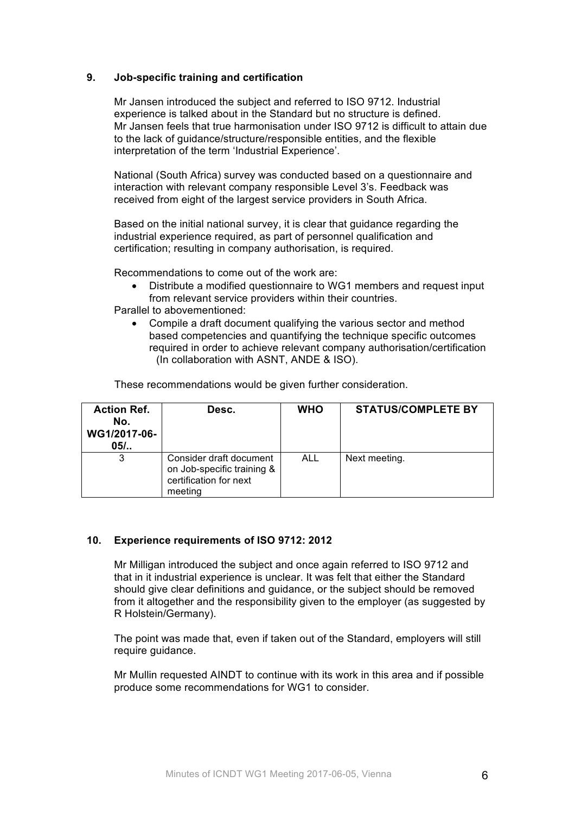### **9. Job-specific training and certification**

Mr Jansen introduced the subject and referred to ISO 9712. Industrial experience is talked about in the Standard but no structure is defined. Mr Jansen feels that true harmonisation under ISO 9712 is difficult to attain due to the lack of guidance/structure/responsible entities, and the flexible interpretation of the term 'Industrial Experience'.

National (South Africa) survey was conducted based on a questionnaire and interaction with relevant company responsible Level 3's. Feedback was received from eight of the largest service providers in South Africa.

Based on the initial national survey, it is clear that guidance regarding the industrial experience required, as part of personnel qualification and certification; resulting in company authorisation, is required.

Recommendations to come out of the work are:

• Distribute a modified questionnaire to WG1 members and request input from relevant service providers within their countries.

Parallel to abovementioned:

• Compile a draft document qualifying the various sector and method based competencies and quantifying the technique specific outcomes required in order to achieve relevant company authorisation/certification (In collaboration with ASNT, ANDE & ISO).

These recommendations would be given further consideration.

| <b>Action Ref.</b><br>No.<br>WG1/2017-06-<br>$05/$ | Desc.                                                                                      | <b>WHO</b> | <b>STATUS/COMPLETE BY</b> |
|----------------------------------------------------|--------------------------------------------------------------------------------------------|------------|---------------------------|
| 3                                                  | Consider draft document<br>on Job-specific training &<br>certification for next<br>meeting | <b>ALL</b> | Next meeting.             |

#### **10. Experience requirements of ISO 9712: 2012**

Mr Milligan introduced the subject and once again referred to ISO 9712 and that in it industrial experience is unclear. It was felt that either the Standard should give clear definitions and guidance, or the subject should be removed from it altogether and the responsibility given to the employer (as suggested by R Holstein/Germany).

The point was made that, even if taken out of the Standard, employers will still require guidance.

Mr Mullin requested AINDT to continue with its work in this area and if possible produce some recommendations for WG1 to consider.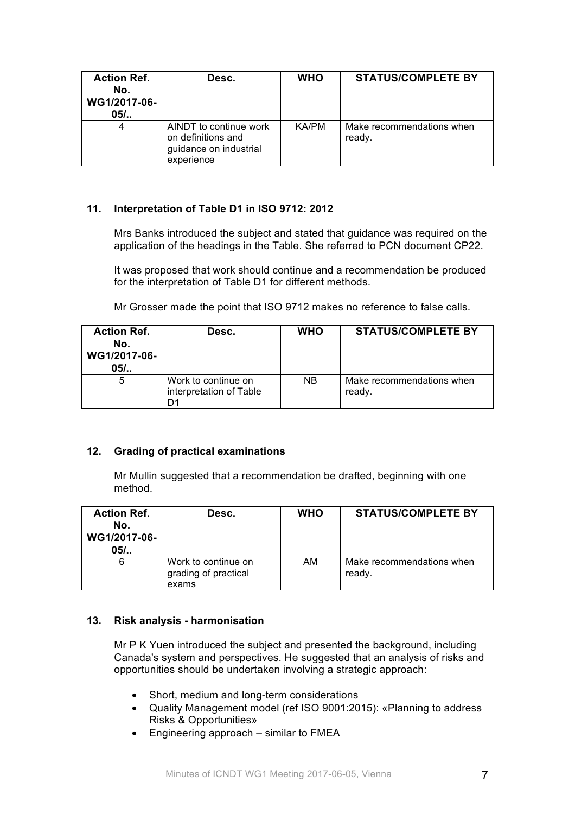| <b>Action Ref.</b><br>No.<br>WG1/2017-06-<br>$05/$ | Desc.                                                                                | <b>WHO</b> | <b>STATUS/COMPLETE BY</b>           |
|----------------------------------------------------|--------------------------------------------------------------------------------------|------------|-------------------------------------|
| 4                                                  | AINDT to continue work<br>on definitions and<br>guidance on industrial<br>experience | KA/PM      | Make recommendations when<br>ready. |

# **11. Interpretation of Table D1 in ISO 9712: 2012**

Mrs Banks introduced the subject and stated that guidance was required on the application of the headings in the Table. She referred to PCN document CP22.

It was proposed that work should continue and a recommendation be produced for the interpretation of Table D1 for different methods.

Mr Grosser made the point that ISO 9712 makes no reference to false calls.

| <b>Action Ref.</b><br>No.<br>WG1/2017-06-<br>$05/$ | Desc.                                                | <b>WHO</b> | <b>STATUS/COMPLETE BY</b>           |
|----------------------------------------------------|------------------------------------------------------|------------|-------------------------------------|
| 5                                                  | Work to continue on<br>interpretation of Table<br>n٠ | NB         | Make recommendations when<br>ready. |

# **12. Grading of practical examinations**

Mr Mullin suggested that a recommendation be drafted, beginning with one method.

| <b>Action Ref.</b><br>No.<br>WG1/2017-06-<br>$05/$ | Desc.                                                | <b>WHO</b> | <b>STATUS/COMPLETE BY</b>           |
|----------------------------------------------------|------------------------------------------------------|------------|-------------------------------------|
| 6                                                  | Work to continue on<br>grading of practical<br>exams | AM         | Make recommendations when<br>ready. |

# **13. Risk analysis - harmonisation**

Mr P K Yuen introduced the subject and presented the background, including Canada's system and perspectives. He suggested that an analysis of risks and opportunities should be undertaken involving a strategic approach:

- Short, medium and long-term considerations
- Quality Management model (ref ISO 9001:2015): «Planning to address Risks & Opportunities»
- Engineering approach similar to FMEA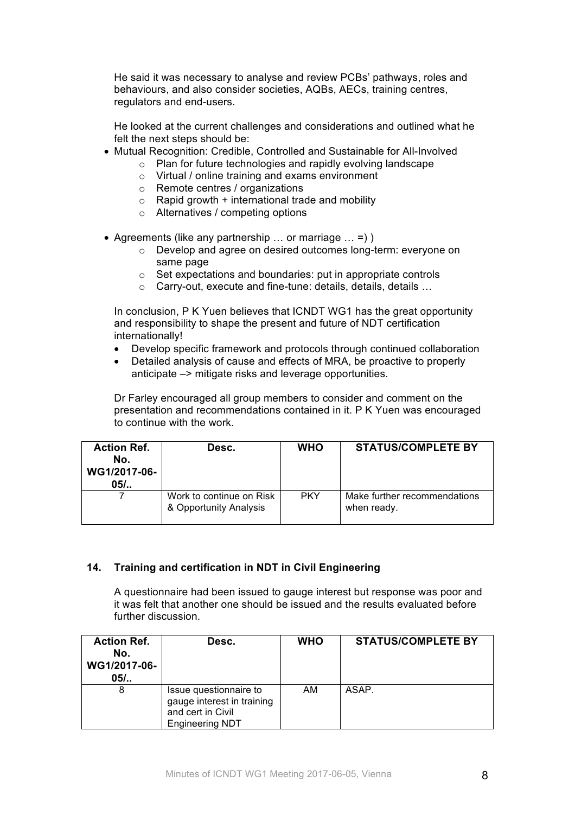He said it was necessary to analyse and review PCBs' pathways, roles and behaviours, and also consider societies, AQBs, AECs, training centres, regulators and end-users.

He looked at the current challenges and considerations and outlined what he felt the next steps should be:

- Mutual Recognition: Credible, Controlled and Sustainable for All-Involved
	- o Plan for future technologies and rapidly evolving landscape
		- o Virtual / online training and exams environment
		- o Remote centres / organizations
		- $\circ$  Rapid growth + international trade and mobility
		- o Alternatives / competing options
- Agreements (like any partnership  $\ldots$  or marriage  $\ldots$  =) )
	- o Develop and agree on desired outcomes long-term: everyone on same page
	- o Set expectations and boundaries: put in appropriate controls
	- o Carry-out, execute and fine-tune: details, details, details …

In conclusion, P K Yuen believes that ICNDT WG1 has the great opportunity and responsibility to shape the present and future of NDT certification internationally!

- Develop specific framework and protocols through continued collaboration
- Detailed analysis of cause and effects of MRA, be proactive to properly anticipate –> mitigate risks and leverage opportunities.

Dr Farley encouraged all group members to consider and comment on the presentation and recommendations contained in it. P K Yuen was encouraged to continue with the work.

| <b>Action Ref.</b><br>No.<br>WG1/2017-06-<br>$05/$ | Desc.                                              | <b>WHO</b> | <b>STATUS/COMPLETE BY</b>                   |
|----------------------------------------------------|----------------------------------------------------|------------|---------------------------------------------|
|                                                    | Work to continue on Risk<br>& Opportunity Analysis | <b>PKY</b> | Make further recommendations<br>when ready. |

#### **14. Training and certification in NDT in Civil Engineering**

A questionnaire had been issued to gauge interest but response was poor and it was felt that another one should be issued and the results evaluated before further discussion.

| <b>Action Ref.</b><br>No.<br>WG1/2017-06-<br>$05/$ | Desc.                                                                                               | <b>WHO</b> | <b>STATUS/COMPLETE BY</b> |
|----------------------------------------------------|-----------------------------------------------------------------------------------------------------|------------|---------------------------|
| 8                                                  | Issue questionnaire to<br>gauge interest in training<br>and cert in Civil<br><b>Engineering NDT</b> | AM         | ASAP.                     |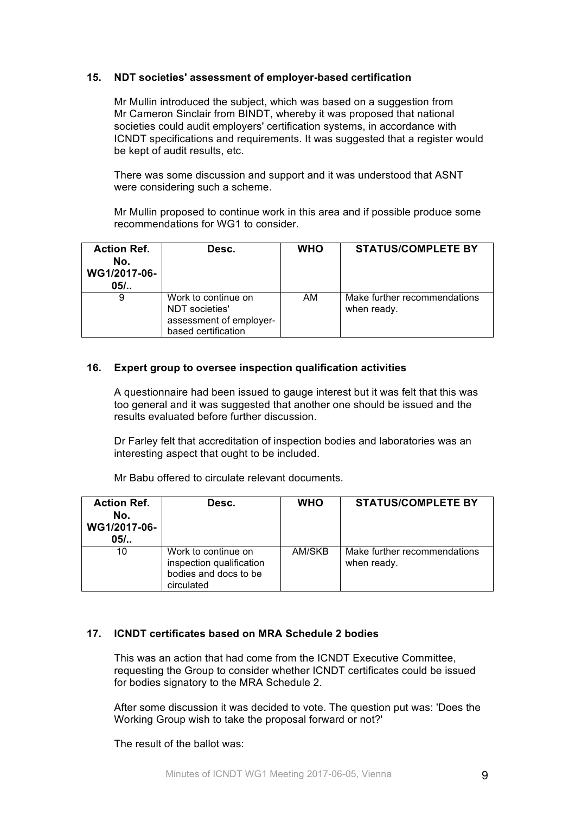# **15. NDT societies' assessment of employer-based certification**

Mr Mullin introduced the subject, which was based on a suggestion from Mr Cameron Sinclair from BINDT, whereby it was proposed that national societies could audit employers' certification systems, in accordance with ICNDT specifications and requirements. It was suggested that a register would be kept of audit results, etc.

There was some discussion and support and it was understood that ASNT were considering such a scheme.

Mr Mullin proposed to continue work in this area and if possible produce some recommendations for WG1 to consider.

| <b>Action Ref.</b><br>No.<br>WG1/2017-06-<br>$05/$ | Desc.                                                                                   | <b>WHO</b> | <b>STATUS/COMPLETE BY</b>                   |
|----------------------------------------------------|-----------------------------------------------------------------------------------------|------------|---------------------------------------------|
| 9                                                  | Work to continue on<br>NDT societies'<br>assessment of employer-<br>based certification | AM         | Make further recommendations<br>when ready. |

#### **16. Expert group to oversee inspection qualification activities**

A questionnaire had been issued to gauge interest but it was felt that this was too general and it was suggested that another one should be issued and the results evaluated before further discussion.

Dr Farley felt that accreditation of inspection bodies and laboratories was an interesting aspect that ought to be included.

Mr Babu offered to circulate relevant documents.

| <b>Action Ref.</b><br>No.<br>WG1/2017-06-<br>$05/$ | Desc.                                                                                  | <b>WHO</b> | <b>STATUS/COMPLETE BY</b>                   |
|----------------------------------------------------|----------------------------------------------------------------------------------------|------------|---------------------------------------------|
| 10                                                 | Work to continue on<br>inspection qualification<br>bodies and docs to be<br>circulated | AM/SKB     | Make further recommendations<br>when ready. |

# **17. ICNDT certificates based on MRA Schedule 2 bodies**

This was an action that had come from the ICNDT Executive Committee, requesting the Group to consider whether ICNDT certificates could be issued for bodies signatory to the MRA Schedule 2.

After some discussion it was decided to vote. The question put was: 'Does the Working Group wish to take the proposal forward or not?'

The result of the ballot was: